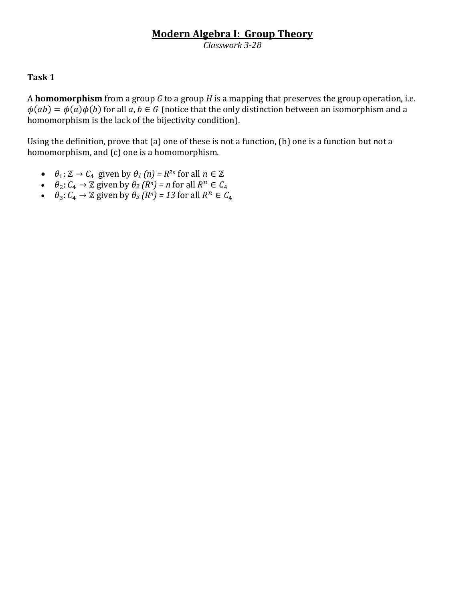## **Modern Algebra I: Group Theory**

*Classwork 3-28*

### **Task 1**

A **homomorphism** from a group *G* to a group *H* is a mapping that preserves the group operation, i.e.  $\phi(ab) = \phi(a)\phi(b)$  for all  $a, b \in G$  (notice that the only distinction between an isomorphism and a homomorphism is the lack of the bijectivity condition).

Using the definition, prove that (a) one of these is not a function, (b) one is a function but not a homomorphism, and (c) one is a homomorphism.

- $\theta_1: \mathbb{Z} \to C_4$  given by  $\theta_1(n) = R^{2n}$  for all  $n \in \mathbb{Z}$
- $\theta_2: C_4 \to \mathbb{Z}$  given by  $\theta_2(R^n) = n$  for all  $R^n$
- $\theta_3: C_4 \to \mathbb{Z}$  given by  $\theta_3(R^n) = 13$  for all  $R^n$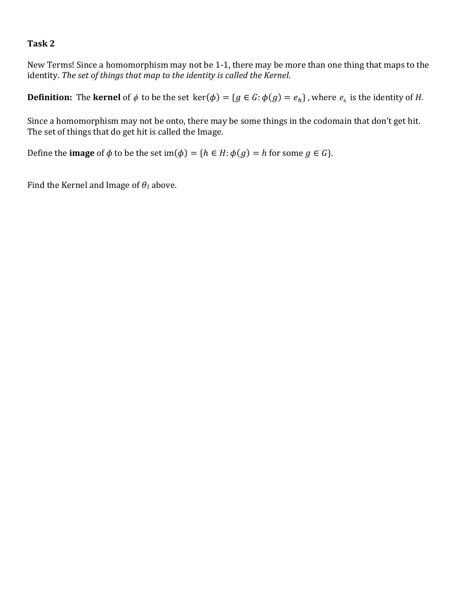### **Task 2**

New Terms! Since a homomorphism may not be 1-1, there may be more than one thing that maps to the identity. *The set of things that map to the identity is called the Kernel*.

**Definition:** The **kernel** of  $\phi$  to be the set  $\text{ker}(\phi) = \{g \in G : \phi(g) = e_h\}$ , where  $e_h$  is the identity of *H*.

Since a homomorphism may not be onto, there may be some things in the codomain that don't get hit. The set of things that do get hit is called the Image.

Define the **image** of  $\phi$  to be the set im( $\phi$ ) = { $h \in H$ :  $\phi(g) = h$  for some  $g \in G$ }.

Find the Kernel and Image of *θ<sup>1</sup>* above.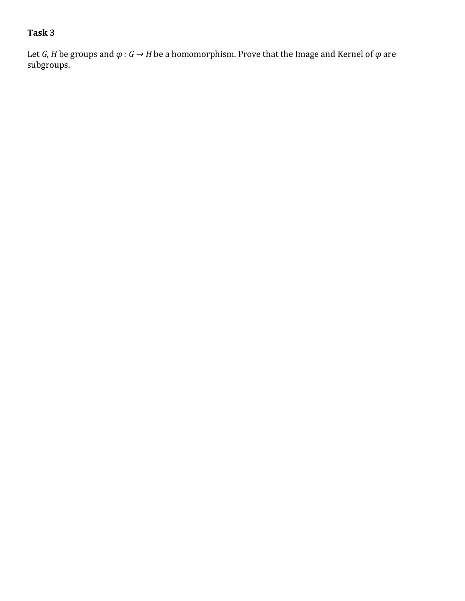# **Task 3**

Let *G*, *H* be groups and  $\varphi$  *: G*  $\rightarrow$  *H* be a homomorphism. Prove that the Image and Kernel of  $\varphi$  are subgroups.